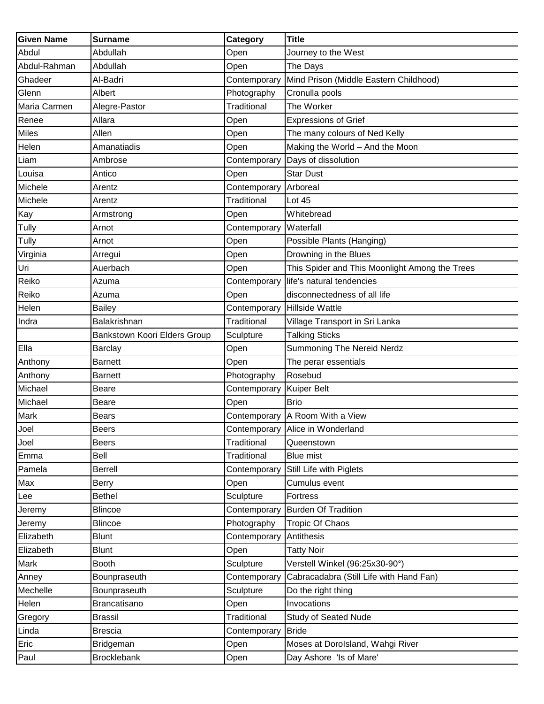| <b>Given Name</b> | <b>Surname</b>               | Category     | <b>Title</b>                                   |
|-------------------|------------------------------|--------------|------------------------------------------------|
| Abdul             | Abdullah                     | Open         | Journey to the West                            |
| Abdul-Rahman      | Abdullah                     | Open         | The Days                                       |
| Ghadeer           | Al-Badri                     | Contemporary | Mind Prison (Middle Eastern Childhood)         |
| Glenn             | Albert                       | Photography  | Cronulla pools                                 |
| Maria Carmen      | Alegre-Pastor                | Traditional  | The Worker                                     |
| Renee             | Allara                       | Open         | <b>Expressions of Grief</b>                    |
| <b>Miles</b>      | Allen                        | Open         | The many colours of Ned Kelly                  |
| Helen             | Amanatiadis                  | Open         | Making the World - And the Moon                |
| Liam              | Ambrose                      | Contemporary | Days of dissolution                            |
| Louisa            | Antico                       | Open         | <b>Star Dust</b>                               |
| Michele           | Arentz                       | Contemporary | Arboreal                                       |
| Michele           | Arentz                       | Traditional  | Lot 45                                         |
| Kay               | Armstrong                    | Open         | Whitebread                                     |
| Tully             | Arnot                        | Contemporary | Waterfall                                      |
| Tully             | Arnot                        | Open         | Possible Plants (Hanging)                      |
| Virginia          | Arregui                      | Open         | Drowning in the Blues                          |
| Uri               | Auerbach                     | Open         | This Spider and This Moonlight Among the Trees |
| Reiko             | Azuma                        | Contemporary | life's natural tendencies                      |
| Reiko             | Azuma                        | Open         | disconnectedness of all life                   |
| Helen             | <b>Bailey</b>                | Contemporary | <b>Hillside Wattle</b>                         |
| Indra             | Balakrishnan                 | Traditional  | Village Transport in Sri Lanka                 |
|                   | Bankstown Koori Elders Group | Sculpture    | <b>Talking Sticks</b>                          |
| Ella              | Barclay                      | Open         | Summoning The Nereid Nerdz                     |
| Anthony           | <b>Barnett</b>               | Open         | The perar essentials                           |
| Anthony           | <b>Barnett</b>               | Photography  | Rosebud                                        |
| Michael           | Beare                        | Contemporary | <b>Kuiper Belt</b>                             |
| Michael           | <b>Beare</b>                 | Open         | <b>Brio</b>                                    |
| Mark              | <b>Bears</b>                 |              | Contemporary A Room With a View                |
| Joel              | Beers                        |              | Contemporary Alice in Wonderland               |
| Joel              | <b>Beers</b>                 | Traditional  | Queenstown                                     |
| Emma              | Bell                         | Traditional  | <b>Blue mist</b>                               |
| Pamela            | <b>Berrell</b>               | Contemporary | Still Life with Piglets                        |
| Max               | <b>Berry</b>                 | Open         | Cumulus event                                  |
| Lee               | <b>Bethel</b>                | Sculpture    | Fortress                                       |
| Jeremy            | <b>Blincoe</b>               | Contemporary | <b>Burden Of Tradition</b>                     |
| Jeremy            | <b>Blincoe</b>               | Photography  | <b>Tropic Of Chaos</b>                         |
| Elizabeth         | <b>Blunt</b>                 | Contemporary | Antithesis                                     |
| Elizabeth         | <b>Blunt</b>                 | Open         | <b>Tatty Noir</b>                              |
| Mark              | <b>Booth</b>                 | Sculpture    | Verstell Winkel (96:25x30-90°)                 |
| Anney             | Bounpraseuth                 | Contemporary | Cabracadabra (Still Life with Hand Fan)        |
| Mechelle          | Bounpraseuth                 | Sculpture    | Do the right thing                             |
| Helen             | Brancatisano                 | Open         | Invocations                                    |
| Gregory           | <b>Brassil</b>               | Traditional  | <b>Study of Seated Nude</b>                    |
| Linda             | Brescia                      | Contemporary | <b>Bride</b>                                   |
| Eric              | Bridgeman                    | Open         | Moses at Dorolsland, Wahgi River               |
| Paul              | <b>Brocklebank</b>           | Open         | Day Ashore 'Is of Mare'                        |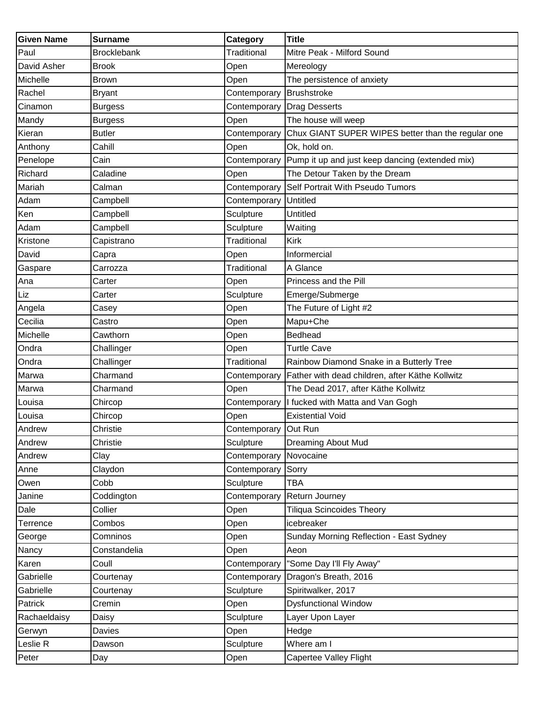| <b>Given Name</b> | <b>Surname</b>     | Category             | <b>Title</b>                                       |
|-------------------|--------------------|----------------------|----------------------------------------------------|
| Paul              | <b>Brocklebank</b> | Traditional          | Mitre Peak - Milford Sound                         |
| David Asher       | <b>Brook</b>       | Open                 | Mereology                                          |
| Michelle          | <b>Brown</b>       | Open                 | The persistence of anxiety                         |
| Rachel            | Bryant             | Contemporary         | Brushstroke                                        |
| Cinamon           | <b>Burgess</b>     | Contemporary         | <b>Drag Desserts</b>                               |
| Mandy             | <b>Burgess</b>     | Open                 | The house will weep                                |
| Kieran            | <b>Butler</b>      | Contemporary         | Chux GIANT SUPER WIPES better than the regular one |
| Anthony           | Cahill             | Open                 | Ok, hold on.                                       |
| Penelope          | Cain               | Contemporary         | Pump it up and just keep dancing (extended mix)    |
| Richard           | Caladine           | Open                 | The Detour Taken by the Dream                      |
| Mariah            | Calman             | Contemporary         | Self Portrait With Pseudo Tumors                   |
| Adam              | Campbell           | Contemporary         | <b>Untitled</b>                                    |
| Ken               | Campbell           | Sculpture            | Untitled                                           |
| Adam              | Campbell           | Sculpture            | Waiting                                            |
| Kristone          | Capistrano         | Traditional          | <b>Kirk</b>                                        |
| David             | Capra              | Open                 | Informercial                                       |
| Gaspare           | Carrozza           | Traditional          | A Glance                                           |
| Ana               | Carter             | Open                 | Princess and the Pill                              |
| Liz               | Carter             | Sculpture            | Emerge/Submerge                                    |
| Angela            | Casey              | Open                 | The Future of Light #2                             |
| Cecilia           | Castro             | Open                 | Mapu+Che                                           |
| Michelle          | Cawthorn           | Open                 | <b>Bedhead</b>                                     |
| Ondra             | Challinger         | Open                 | <b>Turtle Cave</b>                                 |
| Ondra             | Challinger         | Traditional          | Rainbow Diamond Snake in a Butterly Tree           |
| Marwa             | Charmand           | Contemporary         | Father with dead children, after Käthe Kollwitz    |
| Marwa             | Charmand           | Open                 | The Dead 2017, after Käthe Kollwitz                |
| Louisa            | Chircop            | Contemporary         | I fucked with Matta and Van Gogh                   |
| Louisa            | Chircop            | Open                 | <b>Existential Void</b>                            |
| Andrew            | Christie           | Contemporary Out Run |                                                    |
| Andrew            | Christie           | Sculpture            | Dreaming About Mud                                 |
| Andrew            | Clay               | Contemporary         | Novocaine                                          |
| Anne              | Claydon            | Contemporary         | Sorry                                              |
| Owen              | Cobb               | Sculpture            | <b>TBA</b>                                         |
| Janine            | Coddington         | Contemporary         | Return Journey                                     |
| Dale              | Collier            | Open                 | <b>Tiliqua Scincoides Theory</b>                   |
| Terrence          | Combos             | Open                 | icebreaker                                         |
| George            | Comninos           | Open                 | Sunday Morning Reflection - East Sydney            |
| Nancy             | Constandelia       | Open                 | Aeon                                               |
| Karen             | Coull              | Contemporary         | "Some Day I'll Fly Away"                           |
| Gabrielle         | Courtenay          | Contemporary         | Dragon's Breath, 2016                              |
| Gabrielle         | Courtenay          | Sculpture            | Spiritwalker, 2017                                 |
| Patrick           | Cremin             | Open                 | <b>Dysfunctional Window</b>                        |
| Rachaeldaisy      | Daisy              | Sculpture            | Layer Upon Layer                                   |
| Gerwyn            | Davies             | Open                 | Hedge                                              |
| Leslie R          | Dawson             | Sculpture            | Where am I                                         |
| Peter             | Day                | Open                 | Capertee Valley Flight                             |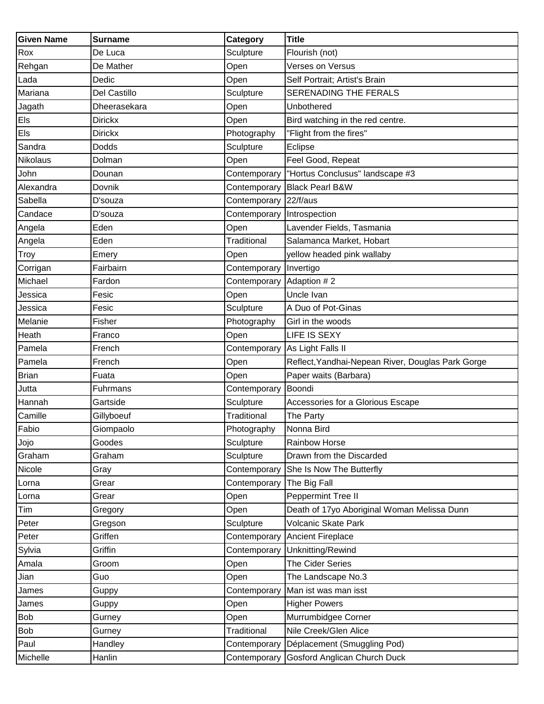| <b>Given Name</b> | <b>Surname</b> | Category              | <b>Title</b>                                      |
|-------------------|----------------|-----------------------|---------------------------------------------------|
| Rox               | De Luca        | Sculpture             | Flourish (not)                                    |
| Rehgan            | De Mather      | Open                  | Verses on Versus                                  |
| Lada              | Dedic          | Open                  | Self Portrait; Artist's Brain                     |
| Mariana           | Del Castillo   | Sculpture             | SERENADING THE FERALS                             |
| Jagath            | Dheerasekara   | Open                  | Unbothered                                        |
| Els               | Dirickx        | Open                  | Bird watching in the red centre.                  |
| Els               | <b>Dirickx</b> | Photography           | "Flight from the fires"                           |
| Sandra            | Dodds          | Sculpture             | Eclipse                                           |
| Nikolaus          | Dolman         | Open                  | Feel Good, Repeat                                 |
| John              | Dounan         | Contemporary          | "Hortus Conclusus" landscape #3                   |
| Alexandra         | Dovnik         | Contemporary          | <b>Black Pearl B&amp;W</b>                        |
| Sabella           | D'souza        | Contemporary 22/f/aus |                                                   |
| Candace           | D'souza        | Contemporary          | Introspection                                     |
| Angela            | Eden           | Open                  | Lavender Fields, Tasmania                         |
| Angela            | Eden           | Traditional           | Salamanca Market, Hobart                          |
| Troy              | Emery          | Open                  | yellow headed pink wallaby                        |
| Corrigan          | Fairbairn      | Contemporary          | Invertigo                                         |
| Michael           | Fardon         | Contemporary          | Adaption #2                                       |
| Jessica           | Fesic          | Open                  | Uncle Ivan                                        |
| Jessica           | Fesic          | Sculpture             | A Duo of Pot-Ginas                                |
| Melanie           | Fisher         | Photography           | Girl in the woods                                 |
| Heath             | Franco         | Open                  | LIFE IS SEXY                                      |
| Pamela            | French         | Contemporary          | As Light Falls II                                 |
| Pamela            | French         | Open                  | Reflect, Yandhai-Nepean River, Douglas Park Gorge |
| <b>Brian</b>      | Fuata          | Open                  | Paper waits (Barbara)                             |
| Jutta             | Fuhrmans       | Contemporary          | Boondi                                            |
| Hannah            | Gartside       | Sculpture             | Accessories for a Glorious Escape                 |
| Camille           | Gillyboeuf     | Traditional           | The Party                                         |
| Fabio             | Giompaolo      | Photography           | Nonna Bird                                        |
| Jojo              | Goodes         | Sculpture             | <b>Rainbow Horse</b>                              |
| Graham            | Graham         | Sculpture             | Drawn from the Discarded                          |
| Nicole            | Gray           | Contemporary          | She Is Now The Butterfly                          |
| Lorna             | Grear          | Contemporary          | The Big Fall                                      |
| Lorna             | Grear          | Open                  | Peppermint Tree II                                |
| Tim               | Gregory        | Open                  | Death of 17yo Aboriginal Woman Melissa Dunn       |
| Peter             | Gregson        | Sculpture             | Volcanic Skate Park                               |
| Peter             | Griffen        | Contemporary          | <b>Ancient Fireplace</b>                          |
| Sylvia            | Griffin        | Contemporary          | Unknitting/Rewind                                 |
| Amala             | Groom          | Open                  | The Cider Series                                  |
| Jian              | Guo            | Open                  | The Landscape No.3                                |
| James             | Guppy          | Contemporary          | Man ist was man isst                              |
| James             | Guppy          | Open                  | <b>Higher Powers</b>                              |
| <b>Bob</b>        | Gurney         | Open                  | Murrumbidgee Corner                               |
| Bob               | Gurney         | Traditional           | Nile Creek/Glen Alice                             |
| Paul              | Handley        | Contemporary          | Déplacement (Smuggling Pod)                       |
| Michelle          | Hanlin         | Contemporary          | Gosford Anglican Church Duck                      |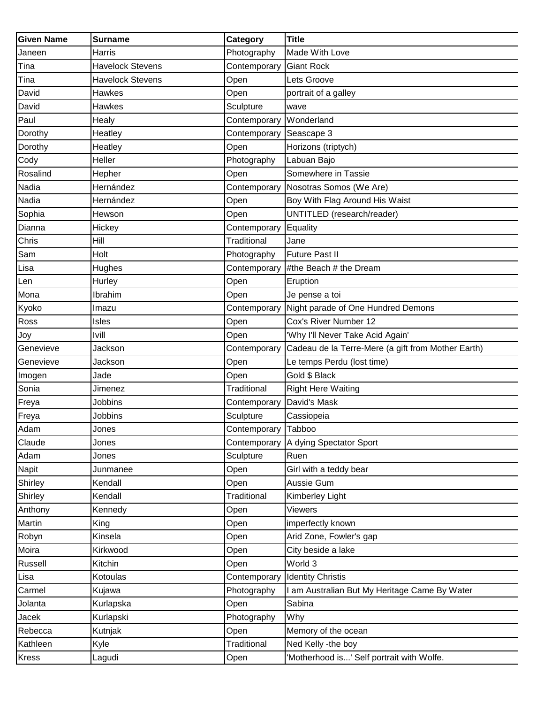| <b>Given Name</b> | <b>Surname</b>          | Category            | <b>Title</b>                                       |
|-------------------|-------------------------|---------------------|----------------------------------------------------|
| Janeen            | Harris                  | Photography         | Made With Love                                     |
| Tina              | <b>Havelock Stevens</b> | Contemporary        | <b>Giant Rock</b>                                  |
| Tina              | <b>Havelock Stevens</b> | Open                | Lets Groove                                        |
| David             | Hawkes                  | Open                | portrait of a galley                               |
| David             | Hawkes                  | Sculpture           | wave                                               |
| Paul              | Healy                   | Contemporary        | Wonderland                                         |
| Dorothy           | Heatley                 | Contemporary        | Seascape 3                                         |
| Dorothy           | Heatley                 | Open                | Horizons (triptych)                                |
| Cody              | Heller                  | Photography         | Labuan Bajo                                        |
| Rosalind          | Hepher                  | Open                | Somewhere in Tassie                                |
| Nadia             | Hernández               | Contemporary        | Nosotras Somos (We Are)                            |
| Nadia             | Hernández               | Open                | Boy With Flag Around His Waist                     |
| Sophia            | Hewson                  | Open                | UNTITLED (research/reader)                         |
| Dianna            | Hickey                  | Contemporary        | Equality                                           |
| Chris             | Hill                    | Traditional         | Jane                                               |
| Sam               | Holt                    | Photography         | <b>Future Past II</b>                              |
| Lisa              | Hughes                  | Contemporary        | #the Beach # the Dream                             |
| Len               | Hurley                  | Open                | Eruption                                           |
| Mona              | Ibrahim                 | Open                | Je pense a toi                                     |
| Kyoko             | lmazu                   | Contemporary        | Night parade of One Hundred Demons                 |
| Ross              | Isles                   | Open                | Cox's River Number 12                              |
| Joy               | Ivill                   | Open                | 'Why I'll Never Take Acid Again'                   |
| Genevieve         | Jackson                 | Contemporary        | Cadeau de la Terre-Mere (a gift from Mother Earth) |
| Genevieve         | Jackson                 | Open                | Le temps Perdu (lost time)                         |
| Imogen            | Jade                    | Open                | Gold \$ Black                                      |
| Sonia             | Jimenez                 | <b>Traditional</b>  | <b>Right Here Waiting</b>                          |
| Freya             | Jobbins                 | Contemporary        | David's Mask                                       |
| Freya             | Jobbins                 | Sculpture           | Cassiopeia                                         |
| Adam              | Jones                   | Contemporary Tabboo |                                                    |
| Claude            | Jones                   | Contemporary        | A dying Spectator Sport                            |
| Adam              | Jones                   | Sculpture           | Ruen                                               |
| <b>Napit</b>      | Junmanee                | Open                | Girl with a teddy bear                             |
| Shirley           | Kendall                 | Open                | Aussie Gum                                         |
| Shirley           | Kendall                 | Traditional         | Kimberley Light                                    |
| Anthony           | Kennedy                 | Open                | Viewers                                            |
| Martin            | King                    | Open                | imperfectly known                                  |
| Robyn             | Kinsela                 | Open                | Arid Zone, Fowler's gap                            |
| Moira             | Kirkwood                | Open                | City beside a lake                                 |
| Russell           | Kitchin                 | Open                | World 3                                            |
| Lisa              | Kotoulas                | Contemporary        | <b>Identity Christis</b>                           |
| Carmel            | Kujawa                  | Photography         | I am Australian But My Heritage Came By Water      |
| Jolanta           | Kurlapska               | Open                | Sabina                                             |
| Jacek             | Kurlapski               | Photography         | Why                                                |
| Rebecca           | Kutnjak                 | Open                | Memory of the ocean                                |
| Kathleen          | Kyle                    | Traditional         | Ned Kelly -the boy                                 |
| Kress             | Lagudi                  | Open                | 'Motherhood is' Self portrait with Wolfe.          |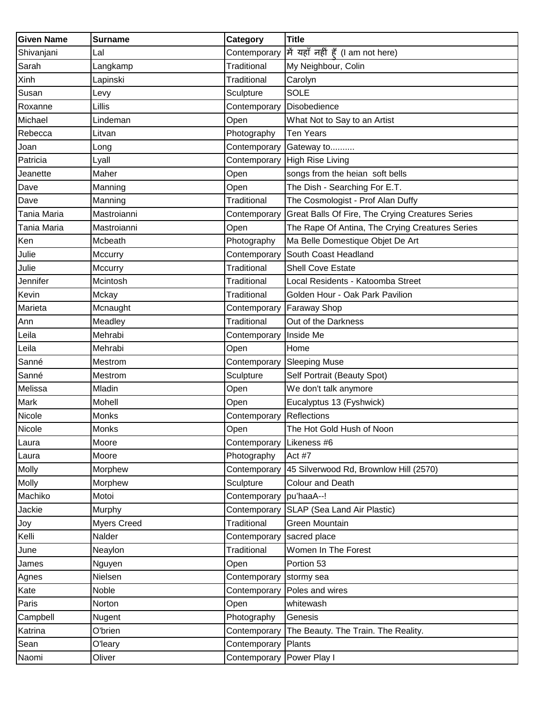| <b>Given Name</b> | <b>Surname</b>     | Category                  | <b>Title</b>                                     |
|-------------------|--------------------|---------------------------|--------------------------------------------------|
| Shivanjani        | Lal                | Contemporary              | में यहाँ नहीं हूँ (I am not here)                |
| Sarah             | Langkamp           | Traditional               | My Neighbour, Colin                              |
| Xinh              | Lapinski           | Traditional               | Carolyn                                          |
| Susan             | Levy               | Sculpture                 | <b>SOLE</b>                                      |
| Roxanne           | Lillis             | Contemporary              | Disobedience                                     |
| Michael           | Lindeman           | Open                      | What Not to Say to an Artist                     |
| Rebecca           | Litvan             | Photography               | <b>Ten Years</b>                                 |
| Joan              | Long               | Contemporary              | Gateway to                                       |
| Patricia          | Lyall              | Contemporary              | <b>High Rise Living</b>                          |
| Jeanette          | Maher              | Open                      | songs from the heian soft bells                  |
| Dave              | Manning            | Open                      | The Dish - Searching For E.T.                    |
| Dave              | Manning            | Traditional               | The Cosmologist - Prof Alan Duffy                |
| Tania Maria       | Mastroianni        | Contemporary              | Great Balls Of Fire, The Crying Creatures Series |
| Tania Maria       | Mastroianni        | Open                      | The Rape Of Antina, The Crying Creatures Series  |
| Ken               | Mcbeath            | Photography               | Ma Belle Domestique Objet De Art                 |
| Julie             | Mccurry            | Contemporary              | South Coast Headland                             |
| Julie             | Mccurry            | <b>Traditional</b>        | <b>Shell Cove Estate</b>                         |
| Jennifer          | Mcintosh           | <b>Traditional</b>        | Local Residents - Katoomba Street                |
| Kevin             | Mckay              | Traditional               | Golden Hour - Oak Park Pavilion                  |
| Marieta           | Mcnaught           | Contemporary              | <b>Faraway Shop</b>                              |
| Ann               | Meadley            | Traditional               | Out of the Darkness                              |
| Leila             | Mehrabi            | Contemporary              | Inside Me                                        |
| Leila             | Mehrabi            | Open                      | Home                                             |
| Sanné             | Mestrom            | Contemporary              | <b>Sleeping Muse</b>                             |
| Sanné             | Mestrom            | Sculpture                 | Self Portrait (Beauty Spot)                      |
| Melissa           | Mladin             | Open                      | We don't talk anymore                            |
| Mark              | Mohell             | Open                      | Eucalyptus 13 (Fyshwick)                         |
| Nicole            | Monks              | Contemporary              | Reflections                                      |
| Nicole            | Monks              | Open                      | The Hot Gold Hush of Noon                        |
| Laura             | Moore              | Contemporary              | Likeness #6                                      |
| Laura             | Moore              | Photography               | Act #7                                           |
| Molly             | Morphew            | Contemporary              | 45 Silverwood Rd, Brownlow Hill (2570)           |
| Molly             | Morphew            | Sculpture                 | Colour and Death                                 |
| Machiko           | Motoi              | Contemporary              | pu'haaA--!                                       |
| Jackie            | Murphy             | Contemporary              | SLAP (Sea Land Air Plastic)                      |
| Joy               | <b>Myers Creed</b> | Traditional               | Green Mountain                                   |
| Kelli             | Nalder             | Contemporary              | sacred place                                     |
| June              | Neaylon            | Traditional               | Women In The Forest                              |
| James             | Nguyen             | Open                      | Portion 53                                       |
| Agnes             | Nielsen            | Contemporary              | stormy sea                                       |
| Kate              | Noble              | Contemporary              | Poles and wires                                  |
| Paris             | Norton             | Open                      | whitewash                                        |
| Campbell          | Nugent             | Photography               | Genesis                                          |
| Katrina           | O'brien            | Contemporary              | The Beauty. The Train. The Reality.              |
| Sean              | <b>O'leary</b>     | Contemporary Plants       |                                                  |
| Naomi             | Oliver             | Contemporary Power Play I |                                                  |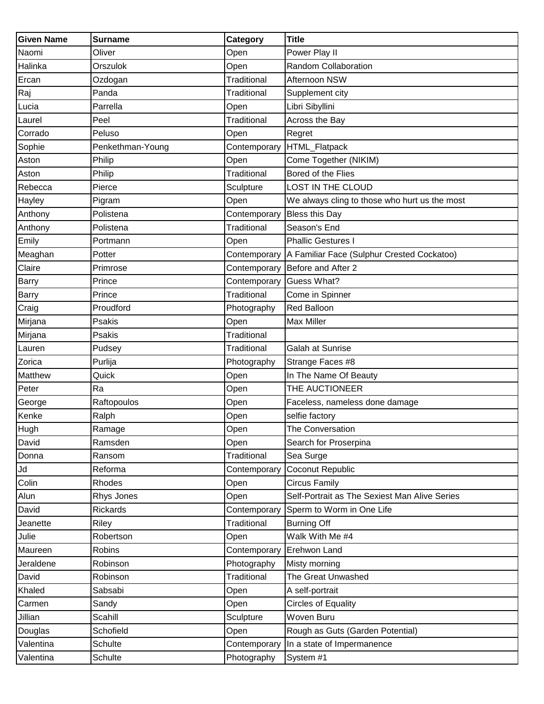| <b>Given Name</b> | <b>Surname</b>   | Category           | <b>Title</b>                                  |
|-------------------|------------------|--------------------|-----------------------------------------------|
| Naomi             | Oliver           | Open               | Power Play II                                 |
| Halinka           | Orszulok         | Open               | Random Collaboration                          |
| Ercan             | Ozdogan          | <b>Traditional</b> | Afternoon NSW                                 |
| Raj               | Panda            | Traditional        | Supplement city                               |
| Lucia             | Parrella         | Open               | Libri Sibyllini                               |
| Laurel            | Peel             | Traditional        | Across the Bay                                |
| Corrado           | Peluso           | Open               | Regret                                        |
| Sophie            | Penkethman-Young | Contemporary       | HTML_Flatpack                                 |
| Aston             | Philip           | Open               | Come Together (NIKIM)                         |
| Aston             | Philip           | <b>Traditional</b> | Bored of the Flies                            |
| Rebecca           | Pierce           | Sculpture          | <b>LOST IN THE CLOUD</b>                      |
| Hayley            | Pigram           | Open               | We always cling to those who hurt us the most |
| Anthony           | Polistena        | Contemporary       | <b>Bless this Day</b>                         |
| Anthony           | Polistena        | Traditional        | Season's End                                  |
| Emily             | Portmann         | Open               | <b>Phallic Gestures I</b>                     |
| Meaghan           | Potter           | Contemporary       | A Familiar Face (Sulphur Crested Cockatoo)    |
| Claire            | Primrose         | Contemporary       | Before and After 2                            |
| Barry             | Prince           | Contemporary       | Guess What?                                   |
| Barry             | Prince           | Traditional        | Come in Spinner                               |
| Craig             | Proudford        | Photography        | <b>Red Balloon</b>                            |
| Mirjana           | Psakis           | Open               | Max Miller                                    |
| Mirjana           | Psakis           | <b>Traditional</b> |                                               |
| Lauren            | Pudsey           | Traditional        | Galah at Sunrise                              |
| Zorica            | Purlija          | Photography        | Strange Faces #8                              |
| Matthew           | Quick            | Open               | In The Name Of Beauty                         |
| Peter             | Ra               | Open               | THE AUCTIONEER                                |
| George            | Raftopoulos      | Open               | Faceless, nameless done damage                |
| Kenke             | Ralph            | Open               | selfie factory                                |
| Hugh              | Ramage           | Open               | The Conversation                              |
| David             | Ramsden          | Open               | Search for Proserpina                         |
| Donna             | Ransom           | Traditional        | Sea Surge                                     |
| Jd                | Reforma          | Contemporary       | Coconut Republic                              |
| Colin             | Rhodes           | Open               | <b>Circus Family</b>                          |
| Alun              | Rhys Jones       | Open               | Self-Portrait as The Sexiest Man Alive Series |
| David             | Rickards         | Contemporary       | Sperm to Worm in One Life                     |
| Jeanette          | Riley            | Traditional        | <b>Burning Off</b>                            |
| Julie             | Robertson        | Open               | Walk With Me #4                               |
| Maureen           | Robins           | Contemporary       | Erehwon Land                                  |
| Jeraldene         | Robinson         | Photography        | Misty morning                                 |
| David             | Robinson         | Traditional        | The Great Unwashed                            |
| Khaled            | Sabsabi          | Open               | A self-portrait                               |
| Carmen            | Sandy            | Open               | <b>Circles of Equality</b>                    |
| Jillian           | Scahill          | Sculpture          | Woven Buru                                    |
| Douglas           | Schofield        | Open               | Rough as Guts (Garden Potential)              |
| Valentina         | Schulte          | Contemporary       | In a state of Impermanence                    |
| Valentina         | Schulte          | Photography        | System #1                                     |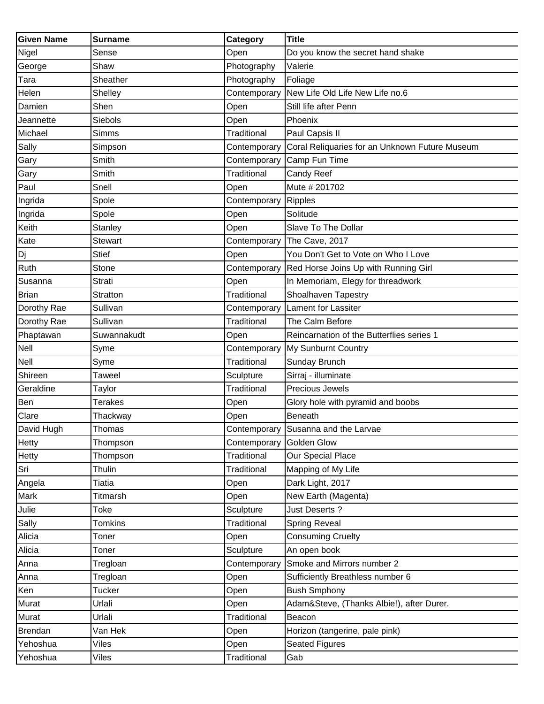| <b>Given Name</b> | <b>Surname</b>  | Category           | <b>Title</b>                                   |
|-------------------|-----------------|--------------------|------------------------------------------------|
| Nigel             | Sense           | Open               | Do you know the secret hand shake              |
| George            | Shaw            | Photography        | Valerie                                        |
| Tara              | Sheather        | Photography        | Foliage                                        |
| Helen             | Shelley         | Contemporary       | New Life Old Life New Life no.6                |
| Damien            | Shen            | Open               | Still life after Penn                          |
| Jeannette         | Siebols         | Open               | Phoenix                                        |
| Michael           | <b>Simms</b>    | Traditional        | Paul Capsis II                                 |
| Sally             | Simpson         | Contemporary       | Coral Reliquaries for an Unknown Future Museum |
| Gary              | Smith           | Contemporary       | Camp Fun Time                                  |
| Gary              | Smith           | Traditional        | Candy Reef                                     |
| Paul              | Snell           | Open               | Mute # 201702                                  |
| Ingrida           | Spole           | Contemporary       | Ripples                                        |
| Ingrida           | Spole           | Open               | Solitude                                       |
| Keith             | Stanley         | Open               | Slave To The Dollar                            |
| Kate              | <b>Stewart</b>  | Contemporary       | The Cave, 2017                                 |
| Dj                | <b>Stief</b>    | Open               | You Don't Get to Vote on Who I Love            |
| Ruth              | Stone           | Contemporary       | Red Horse Joins Up with Running Girl           |
| Susanna           | <b>Strati</b>   | Open               | In Memoriam, Elegy for threadwork              |
| <b>Brian</b>      | <b>Stratton</b> | Traditional        | Shoalhaven Tapestry                            |
| Dorothy Rae       | Sullivan        | Contemporary       | Lament for Lassiter                            |
| Dorothy Rae       | Sullivan        | Traditional        | The Calm Before                                |
| Phaptawan         | Suwannakudt     | Open               | Reincarnation of the Butterflies series 1      |
| Nell              | Syme            | Contemporary       | My Sunburnt Country                            |
| Nell              | Syme            | Traditional        | Sunday Brunch                                  |
| Shireen           | Taweel          | Sculpture          | Sirraj - illuminate                            |
| Geraldine         | Taylor          | <b>Traditional</b> | Precious Jewels                                |
| Ben               | Terakes         | Open               | Glory hole with pyramid and boobs              |
| Clare             | Thackway        | Open               | Beneath                                        |
| David Hugh        | Thomas          |                    | Contemporary Susanna and the Larvae            |
| Hetty             | Thompson        | Contemporary       | <b>Golden Glow</b>                             |
| Hetty             | Thompson        | Traditional        | Our Special Place                              |
| Sri               | Thulin          | Traditional        | Mapping of My Life                             |
| Angela            | Tiatia          | Open               | Dark Light, 2017                               |
| Mark              | Titmarsh        | Open               | New Earth (Magenta)                            |
| Julie             | Toke            | Sculpture          | Just Deserts ?                                 |
| Sally             | <b>Tomkins</b>  | Traditional        | <b>Spring Reveal</b>                           |
| Alicia            | Toner           | Open               | <b>Consuming Cruelty</b>                       |
| Alicia            | Toner           | Sculpture          | An open book                                   |
| Anna              | Tregloan        | Contemporary       | Smoke and Mirrors number 2                     |
| Anna              | Tregloan        | Open               | Sufficiently Breathless number 6               |
| Ken               | <b>Tucker</b>   | Open               | <b>Bush Smphony</b>                            |
| Murat             | Urlali          | Open               | Adam&Steve, (Thanks Albie!), after Durer.      |
| Murat             | Urlali          | Traditional        | Beacon                                         |
| Brendan           | Van Hek         | Open               | Horizon (tangerine, pale pink)                 |
| Yehoshua          | Viles           | Open               | <b>Seated Figures</b>                          |
| Yehoshua          | Viles           | Traditional        | Gab                                            |